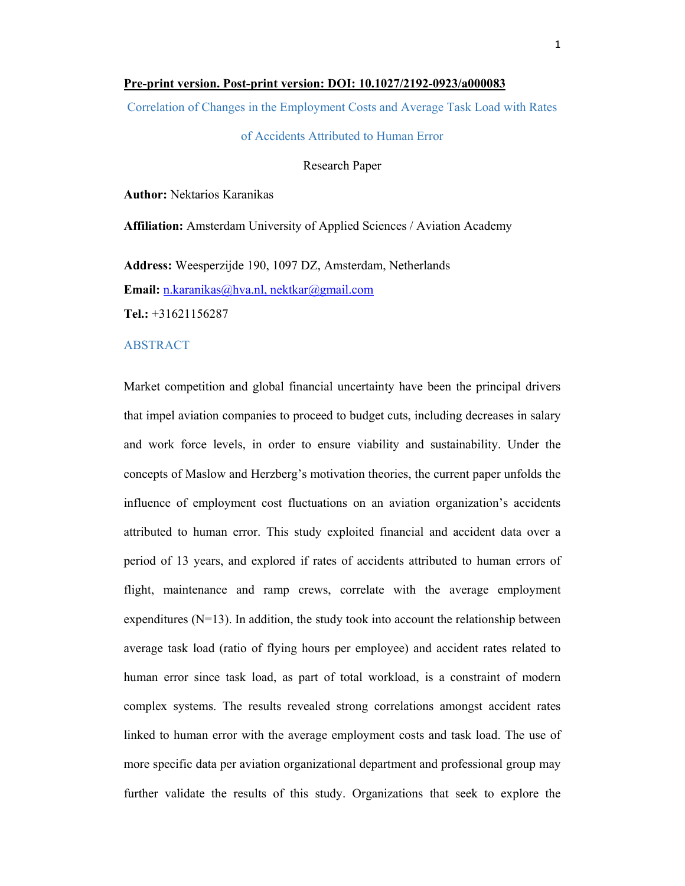### **Pre-print version. Post-print version: DOI: 10.1027/2192-0923/a000083**

Correlation of Changes in the Employment Costs and Average Task Load with Rates

## of Accidents Attributed to Human Error

## Research Paper

**Author:** Nektarios Karanikas

**Affiliation:** Amsterdam University of Applied Sciences / Aviation Academy

**Address:** Weesperzijde 190, 1097 DZ, Amsterdam, Netherlands **Email:** n.karanikas@hva.nl, nektkar@gmail.com **Tel.:** +31621156287

### ABSTRACT

Market competition and global financial uncertainty have been the principal drivers that impel aviation companies to proceed to budget cuts, including decreases in salary and work force levels, in order to ensure viability and sustainability. Under the concepts of Maslow and Herzberg's motivation theories, the current paper unfolds the influence of employment cost fluctuations on an aviation organization's accidents attributed to human error. This study exploited financial and accident data over a period of 13 years, and explored if rates of accidents attributed to human errors of flight, maintenance and ramp crews, correlate with the average employment expenditures  $(N=13)$ . In addition, the study took into account the relationship between average task load (ratio of flying hours per employee) and accident rates related to human error since task load, as part of total workload, is a constraint of modern complex systems. The results revealed strong correlations amongst accident rates linked to human error with the average employment costs and task load. The use of more specific data per aviation organizational department and professional group may further validate the results of this study. Organizations that seek to explore the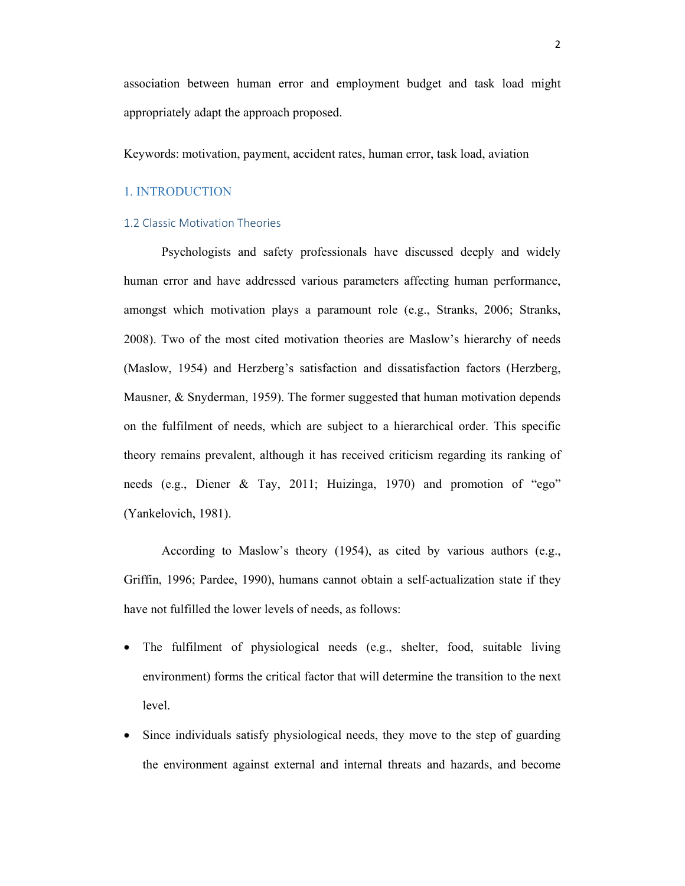association between human error and employment budget and task load might appropriately adapt the approach proposed.

Keywords: motivation, payment, accident rates, human error, task load, aviation

## 1. INTRODUCTION

## 1.2 Classic Motivation Theories

 Psychologists and safety professionals have discussed deeply and widely human error and have addressed various parameters affecting human performance, amongst which motivation plays a paramount role (e.g., Stranks, 2006; Stranks, 2008). Two of the most cited motivation theories are Maslow's hierarchy of needs (Maslow, 1954) and Herzberg's satisfaction and dissatisfaction factors (Herzberg, Mausner, & Snyderman, 1959). The former suggested that human motivation depends on the fulfilment of needs, which are subject to a hierarchical order. This specific theory remains prevalent, although it has received criticism regarding its ranking of needs (e.g., Diener & Tay, 2011; Huizinga, 1970) and promotion of "ego" (Yankelovich, 1981).

 According to Maslow's theory (1954), as cited by various authors (e.g., Griffin, 1996; Pardee, 1990), humans cannot obtain a self-actualization state if they have not fulfilled the lower levels of needs, as follows:

- The fulfilment of physiological needs (e.g., shelter, food, suitable living environment) forms the critical factor that will determine the transition to the next level.
- Since individuals satisfy physiological needs, they move to the step of guarding the environment against external and internal threats and hazards, and become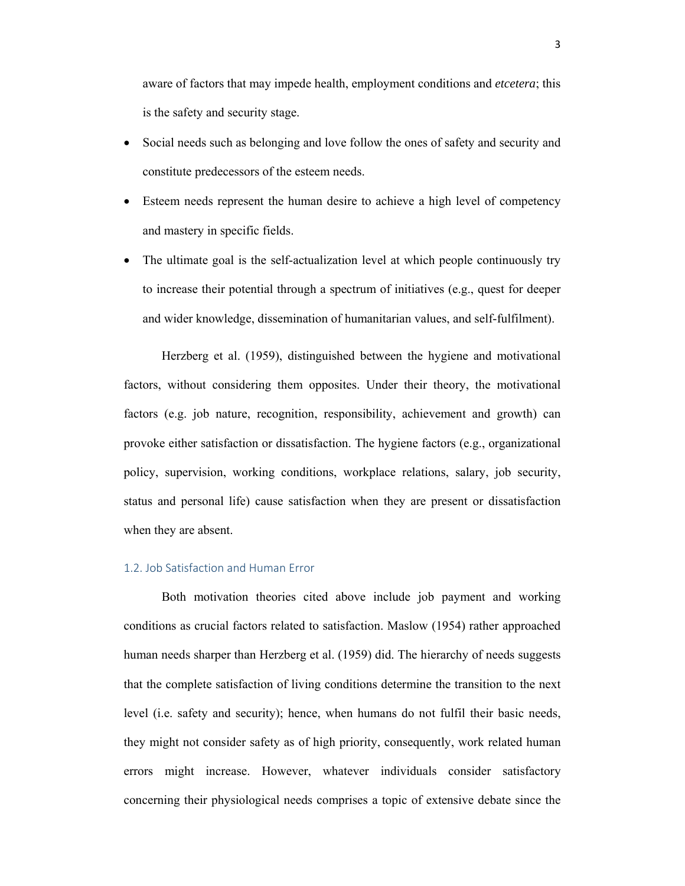aware of factors that may impede health, employment conditions and *etcetera*; this is the safety and security stage.

- Social needs such as belonging and love follow the ones of safety and security and constitute predecessors of the esteem needs.
- Esteem needs represent the human desire to achieve a high level of competency and mastery in specific fields.
- The ultimate goal is the self-actualization level at which people continuously try to increase their potential through a spectrum of initiatives (e.g., quest for deeper and wider knowledge, dissemination of humanitarian values, and self-fulfilment).

 Herzberg et al. (1959), distinguished between the hygiene and motivational factors, without considering them opposites. Under their theory, the motivational factors (e.g. job nature, recognition, responsibility, achievement and growth) can provoke either satisfaction or dissatisfaction. The hygiene factors (e.g., organizational policy, supervision, working conditions, workplace relations, salary, job security, status and personal life) cause satisfaction when they are present or dissatisfaction when they are absent.

## 1.2. Job Satisfaction and Human Error

 Both motivation theories cited above include job payment and working conditions as crucial factors related to satisfaction. Maslow (1954) rather approached human needs sharper than Herzberg et al. (1959) did. The hierarchy of needs suggests that the complete satisfaction of living conditions determine the transition to the next level (i.e. safety and security); hence, when humans do not fulfil their basic needs, they might not consider safety as of high priority, consequently, work related human errors might increase. However, whatever individuals consider satisfactory concerning their physiological needs comprises a topic of extensive debate since the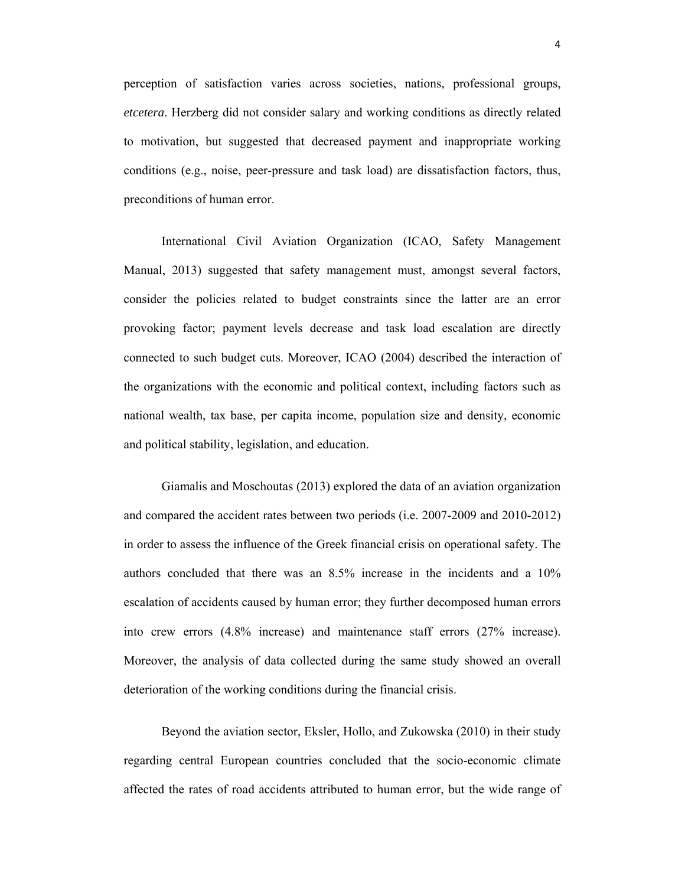perception of satisfaction varies across societies, nations, professional groups, *etcetera*. Herzberg did not consider salary and working conditions as directly related to motivation, but suggested that decreased payment and inappropriate working conditions (e.g., noise, peer-pressure and task load) are dissatisfaction factors, thus, preconditions of human error.

 International Civil Aviation Organization (ICAO, Safety Management Manual, 2013) suggested that safety management must, amongst several factors, consider the policies related to budget constraints since the latter are an error provoking factor; payment levels decrease and task load escalation are directly connected to such budget cuts. Moreover, ICAO (2004) described the interaction of the organizations with the economic and political context, including factors such as national wealth, tax base, per capita income, population size and density, economic and political stability, legislation, and education.

 Giamalis and Moschoutas (2013) explored the data of an aviation organization and compared the accident rates between two periods (i.e. 2007-2009 and 2010-2012) in order to assess the influence of the Greek financial crisis on operational safety. The authors concluded that there was an 8.5% increase in the incidents and a 10% escalation of accidents caused by human error; they further decomposed human errors into crew errors (4.8% increase) and maintenance staff errors (27% increase). Moreover, the analysis of data collected during the same study showed an overall deterioration of the working conditions during the financial crisis.

 Beyond the aviation sector, Eksler, Hollo, and Zukowska (2010) in their study regarding central European countries concluded that the socio-economic climate affected the rates of road accidents attributed to human error, but the wide range of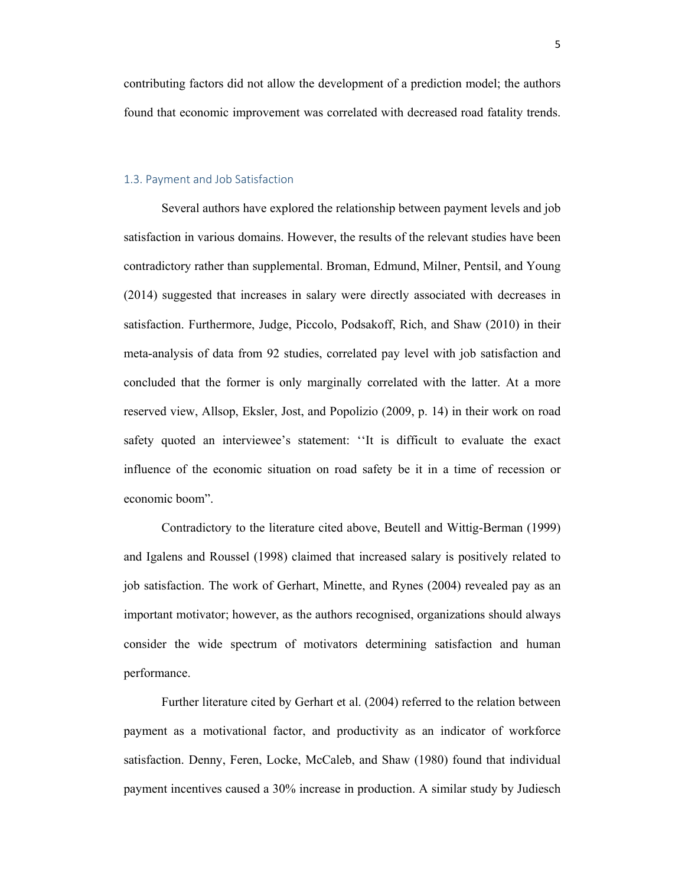contributing factors did not allow the development of a prediction model; the authors found that economic improvement was correlated with decreased road fatality trends.

## 1.3. Payment and Job Satisfaction

 Several authors have explored the relationship between payment levels and job satisfaction in various domains. However, the results of the relevant studies have been contradictory rather than supplemental. Broman, Edmund, Milner, Pentsil, and Young (2014) suggested that increases in salary were directly associated with decreases in satisfaction. Furthermore, Judge, Piccolo, Podsakoff, Rich, and Shaw (2010) in their meta-analysis of data from 92 studies, correlated pay level with job satisfaction and concluded that the former is only marginally correlated with the latter. At a more reserved view, Allsop, Eksler, Jost, and Popolizio (2009, p. 14) in their work on road safety quoted an interviewee's statement: ''It is difficult to evaluate the exact influence of the economic situation on road safety be it in a time of recession or economic boom".

 Contradictory to the literature cited above, Beutell and Wittig-Berman (1999) and Igalens and Roussel (1998) claimed that increased salary is positively related to job satisfaction. The work of Gerhart, Minette, and Rynes (2004) revealed pay as an important motivator; however, as the authors recognised, organizations should always consider the wide spectrum of motivators determining satisfaction and human performance.

 Further literature cited by Gerhart et al. (2004) referred to the relation between payment as a motivational factor, and productivity as an indicator of workforce satisfaction. Denny, Feren, Locke, McCaleb, and Shaw (1980) found that individual payment incentives caused a 30% increase in production. A similar study by Judiesch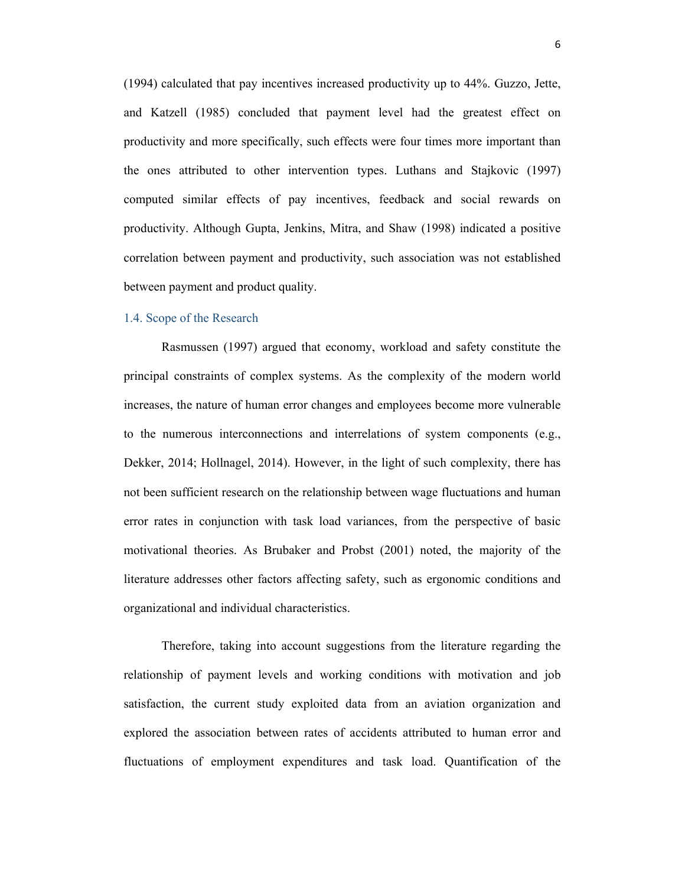(1994) calculated that pay incentives increased productivity up to 44%. Guzzo, Jette, and Katzell (1985) concluded that payment level had the greatest effect on productivity and more specifically, such effects were four times more important than the ones attributed to other intervention types. Luthans and Stajkovic (1997) computed similar effects of pay incentives, feedback and social rewards on productivity. Although Gupta, Jenkins, Mitra, and Shaw (1998) indicated a positive correlation between payment and productivity, such association was not established between payment and product quality.

## 1.4. Scope of the Research

 Rasmussen (1997) argued that economy, workload and safety constitute the principal constraints of complex systems. As the complexity of the modern world increases, the nature of human error changes and employees become more vulnerable to the numerous interconnections and interrelations of system components (e.g., Dekker, 2014; Hollnagel, 2014). However, in the light of such complexity, there has not been sufficient research on the relationship between wage fluctuations and human error rates in conjunction with task load variances, from the perspective of basic motivational theories. As Brubaker and Probst (2001) noted, the majority of the literature addresses other factors affecting safety, such as ergonomic conditions and organizational and individual characteristics.

 Therefore, taking into account suggestions from the literature regarding the relationship of payment levels and working conditions with motivation and job satisfaction, the current study exploited data from an aviation organization and explored the association between rates of accidents attributed to human error and fluctuations of employment expenditures and task load. Quantification of the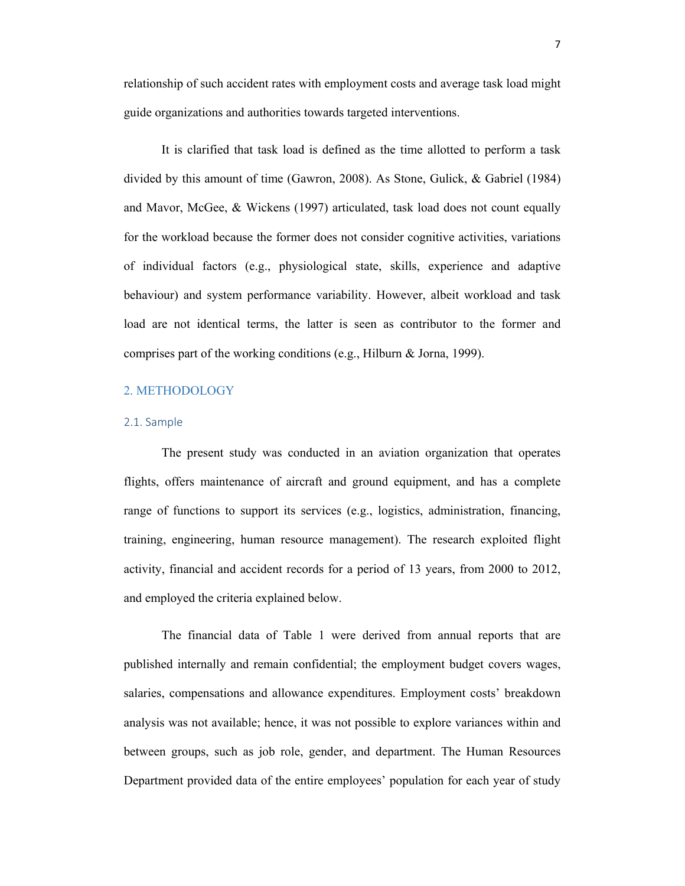relationship of such accident rates with employment costs and average task load might guide organizations and authorities towards targeted interventions.

 It is clarified that task load is defined as the time allotted to perform a task divided by this amount of time (Gawron, 2008). As Stone, Gulick, & Gabriel (1984) and Mavor, McGee, & Wickens (1997) articulated, task load does not count equally for the workload because the former does not consider cognitive activities, variations of individual factors (e.g., physiological state, skills, experience and adaptive behaviour) and system performance variability. However, albeit workload and task load are not identical terms, the latter is seen as contributor to the former and comprises part of the working conditions (e.g., Hilburn & Jorna, 1999).

### 2. METHODOLOGY

#### 2.1. Sample

 The present study was conducted in an aviation organization that operates flights, offers maintenance of aircraft and ground equipment, and has a complete range of functions to support its services (e.g., logistics, administration, financing, training, engineering, human resource management). The research exploited flight activity, financial and accident records for a period of 13 years, from 2000 to 2012, and employed the criteria explained below.

 The financial data of Table 1 were derived from annual reports that are published internally and remain confidential; the employment budget covers wages, salaries, compensations and allowance expenditures. Employment costs' breakdown analysis was not available; hence, it was not possible to explore variances within and between groups, such as job role, gender, and department. The Human Resources Department provided data of the entire employees' population for each year of study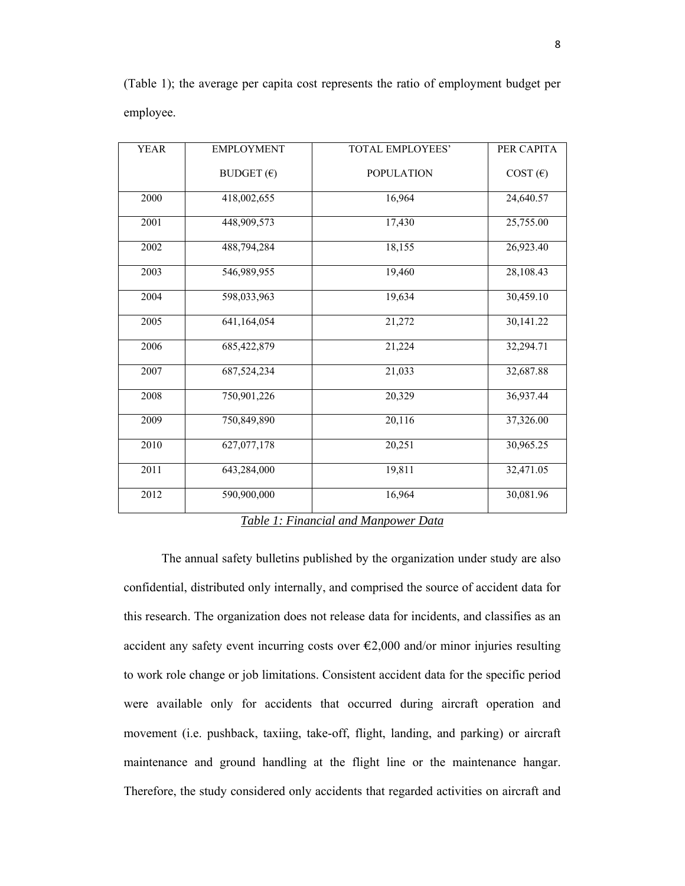| <b>YEAR</b> | <b>EMPLOYMENT</b>   | <b>TOTAL EMPLOYEES'</b> | PER CAPITA |
|-------------|---------------------|-------------------------|------------|
|             | BUDGET $(\epsilon)$ | <b>POPULATION</b>       | COST(E)    |
| 2000        | 418,002,655         | 16,964                  | 24,640.57  |
| 2001        | 448,909,573         | 17,430                  | 25,755.00  |
| 2002        | 488,794,284         | 18,155                  | 26,923.40  |
| 2003        | 546,989,955         | 19,460                  | 28,108.43  |
| 2004        | 598,033,963         | 19,634                  | 30,459.10  |
| 2005        | 641,164,054         | 21,272                  | 30,141.22  |
| 2006        | 685,422,879         | 21,224                  | 32,294.71  |
| 2007        | 687,524,234         | 21,033                  | 32,687.88  |
| 2008        | 750,901,226         | 20,329                  | 36,937.44  |
| 2009        | 750,849,890         | 20,116                  | 37,326.00  |
| 2010        | 627,077,178         | 20,251                  | 30,965.25  |
| 2011        | 643,284,000         | 19,811                  | 32,471.05  |
| 2012        | 590,900,000         | 16,964                  | 30,081.96  |

(Table 1); the average per capita cost represents the ratio of employment budget per employee.

### *Table 1: Financial and Manpower Data*

 The annual safety bulletins published by the organization under study are also confidential, distributed only internally, and comprised the source of accident data for this research. The organization does not release data for incidents, and classifies as an accident any safety event incurring costs over  $\epsilon$ 2,000 and/or minor injuries resulting to work role change or job limitations. Consistent accident data for the specific period were available only for accidents that occurred during aircraft operation and movement (i.e. pushback, taxiing, take-off, flight, landing, and parking) or aircraft maintenance and ground handling at the flight line or the maintenance hangar. Therefore, the study considered only accidents that regarded activities on aircraft and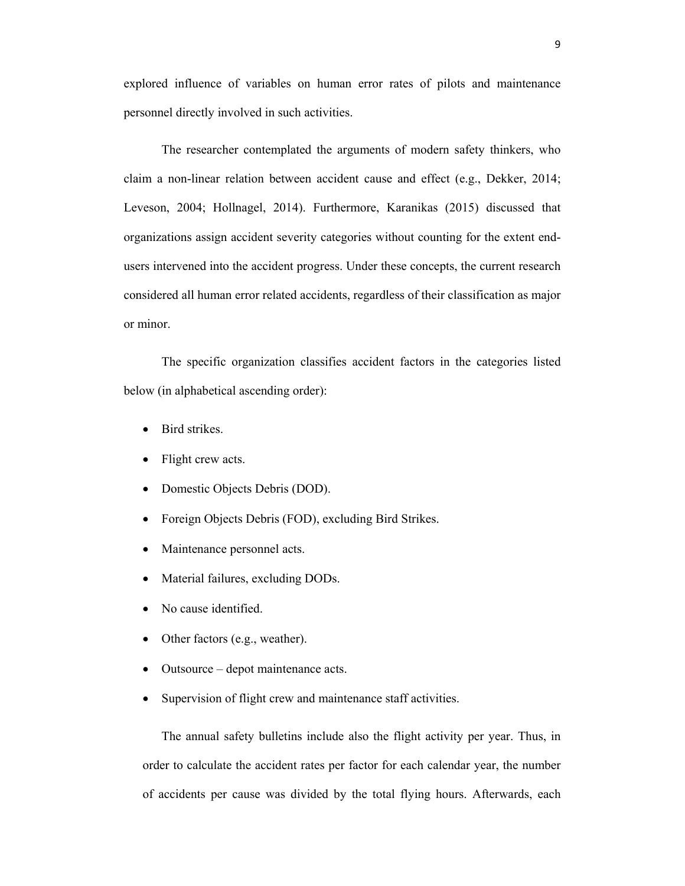explored influence of variables on human error rates of pilots and maintenance personnel directly involved in such activities.

 The researcher contemplated the arguments of modern safety thinkers, who claim a non-linear relation between accident cause and effect (e.g., Dekker, 2014; Leveson, 2004; Hollnagel, 2014). Furthermore, Karanikas (2015) discussed that organizations assign accident severity categories without counting for the extent endusers intervened into the accident progress. Under these concepts, the current research considered all human error related accidents, regardless of their classification as major or minor.

 The specific organization classifies accident factors in the categories listed below (in alphabetical ascending order):

- Bird strikes.
- Flight crew acts.
- Domestic Objects Debris (DOD).
- Foreign Objects Debris (FOD), excluding Bird Strikes.
- Maintenance personnel acts.
- Material failures, excluding DODs.
- No cause identified.
- Other factors (e.g., weather).
- Outsource depot maintenance acts.
- Supervision of flight crew and maintenance staff activities.

 The annual safety bulletins include also the flight activity per year. Thus, in order to calculate the accident rates per factor for each calendar year, the number of accidents per cause was divided by the total flying hours. Afterwards, each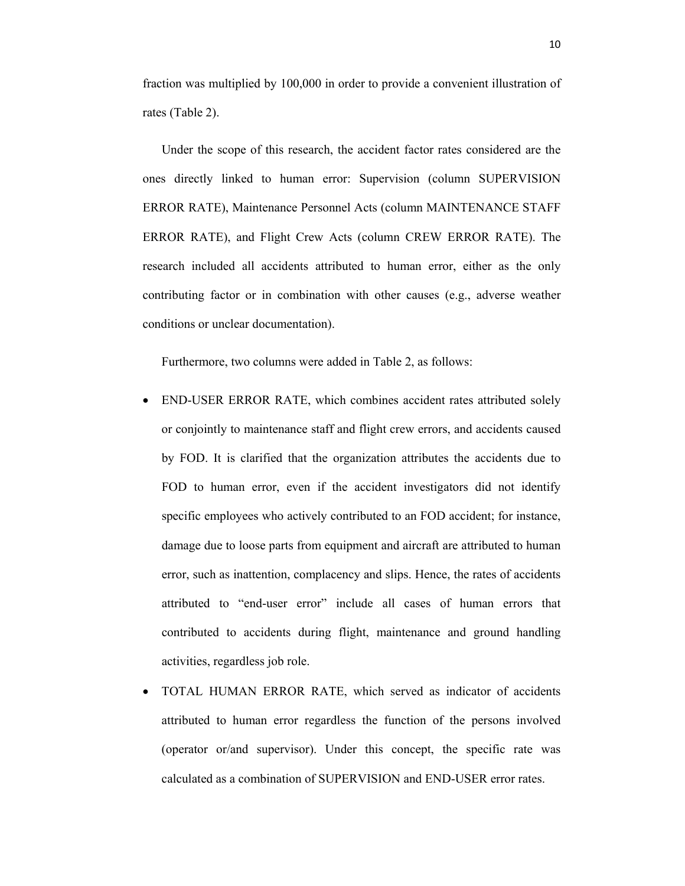fraction was multiplied by 100,000 in order to provide a convenient illustration of rates (Table 2).

 Under the scope of this research, the accident factor rates considered are the ones directly linked to human error: Supervision (column SUPERVISION ERROR RATE), Maintenance Personnel Acts (column MAINTENANCE STAFF ERROR RATE), and Flight Crew Acts (column CREW ERROR RATE). The research included all accidents attributed to human error, either as the only contributing factor or in combination with other causes (e.g., adverse weather conditions or unclear documentation).

Furthermore, two columns were added in Table 2, as follows:

- END-USER ERROR RATE, which combines accident rates attributed solely or conjointly to maintenance staff and flight crew errors, and accidents caused by FOD. It is clarified that the organization attributes the accidents due to FOD to human error, even if the accident investigators did not identify specific employees who actively contributed to an FOD accident; for instance, damage due to loose parts from equipment and aircraft are attributed to human error, such as inattention, complacency and slips. Hence, the rates of accidents attributed to "end-user error" include all cases of human errors that contributed to accidents during flight, maintenance and ground handling activities, regardless job role.
- TOTAL HUMAN ERROR RATE, which served as indicator of accidents attributed to human error regardless the function of the persons involved (operator or/and supervisor). Under this concept, the specific rate was calculated as a combination of SUPERVISION and END-USER error rates.

10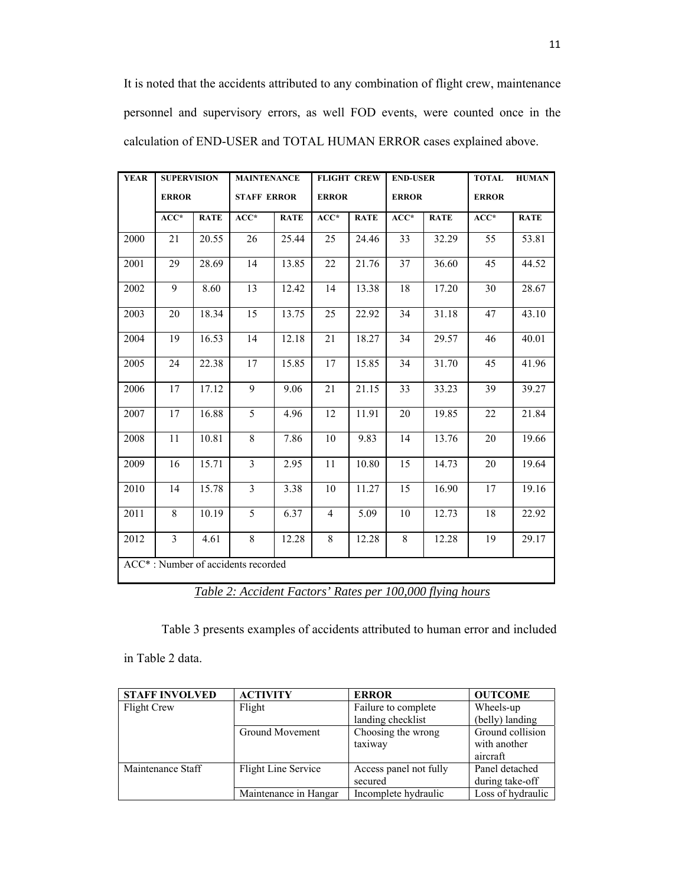It is noted that the accidents attributed to any combination of flight crew, maintenance personnel and supervisory errors, as well FOD events, were counted once in the calculation of END-USER and TOTAL HUMAN ERROR cases explained above.

| <b>YEAR</b>                        | <b>SUPERVISION</b> |             | <b>MAINTENANCE</b> |             | <b>FLIGHT CREW</b> |             | <b>END-USER</b> |             | <b>TOTAL</b> | <b>HUMAN</b> |
|------------------------------------|--------------------|-------------|--------------------|-------------|--------------------|-------------|-----------------|-------------|--------------|--------------|
|                                    | <b>ERROR</b>       |             | <b>STAFF ERROR</b> |             | <b>ERROR</b>       |             | <b>ERROR</b>    |             | <b>ERROR</b> |              |
|                                    | $ACC*$             | <b>RATE</b> | $ACC*$             | <b>RATE</b> | $ACC*$             | <b>RATE</b> | $ACC*$          | <b>RATE</b> | $ACC*$       | <b>RATE</b>  |
| 2000                               | 21                 | 20.55       | 26                 | 25.44       | 25                 | 24.46       | 33              | 32.29       | 55           | 53.81        |
| 2001                               | 29                 | 28.69       | 14                 | 13.85       | 22                 | 21.76       | 37              | 36.60       | 45           | 44.52        |
| 2002                               | 9                  | 8.60        | 13                 | 12.42       | 14                 | 13.38       | 18              | 17.20       | 30           | 28.67        |
| 2003                               | 20                 | 18.34       | 15                 | 13.75       | 25                 | 22.92       | 34              | 31.18       | 47           | 43.10        |
| 2004                               | 19                 | 16.53       | 14                 | 12.18       | 21                 | 18.27       | 34              | 29.57       | 46           | 40.01        |
| 2005                               | 24                 | 22.38       | 17                 | 15.85       | 17                 | 15.85       | 34              | 31.70       | 45           | 41.96        |
| 2006                               | 17                 | 17.12       | 9                  | 9.06        | 21                 | 21.15       | 33              | 33.23       | 39           | 39.27        |
| 2007                               | 17                 | 16.88       | 5                  | 4.96        | 12                 | 11.91       | 20              | 19.85       | 22           | 21.84        |
| 2008                               | 11                 | 10.81       | 8                  | 7.86        | 10                 | 9.83        | 14              | 13.76       | 20           | 19.66        |
| 2009                               | 16                 | 15.71       | $\overline{3}$     | 2.95        | 11                 | 10.80       | 15              | 14.73       | 20           | 19.64        |
| 2010                               | 14                 | 15.78       | $\overline{3}$     | 3.38        | 10                 | 11.27       | 15              | 16.90       | 17           | 19.16        |
| 2011                               | 8                  | 10.19       | 5                  | 6.37        | 4                  | 5.09        | 10              | 12.73       | 18           | 22.92        |
| 2012                               | $\overline{3}$     | 4.61        | 8                  | 12.28       | 8                  | 12.28       | 8               | 12.28       | 19           | 29.17        |
| ACC*: Number of accidents recorded |                    |             |                    |             |                    |             |                 |             |              |              |

*Table 2: Accident Factors' Rates per 100,000 flying hours* 

Table 3 presents examples of accidents attributed to human error and included

in Table 2 data.

| <b>STAFF INVOLVED</b> | <b>ACTIVITY</b>       | <b>ERROR</b>           | <b>OUTCOME</b>    |
|-----------------------|-----------------------|------------------------|-------------------|
| Flight Crew           | Flight                | Failure to complete    | Wheels-up         |
|                       |                       | landing checklist      | (belly) landing   |
|                       | Ground Movement       | Choosing the wrong     | Ground collision  |
|                       |                       | taxiway                | with another      |
|                       |                       |                        | aircraft          |
| Maintenance Staff     | Flight Line Service   | Access panel not fully | Panel detached    |
|                       |                       | secured                | during take-off   |
|                       | Maintenance in Hangar | Incomplete hydraulic   | Loss of hydraulic |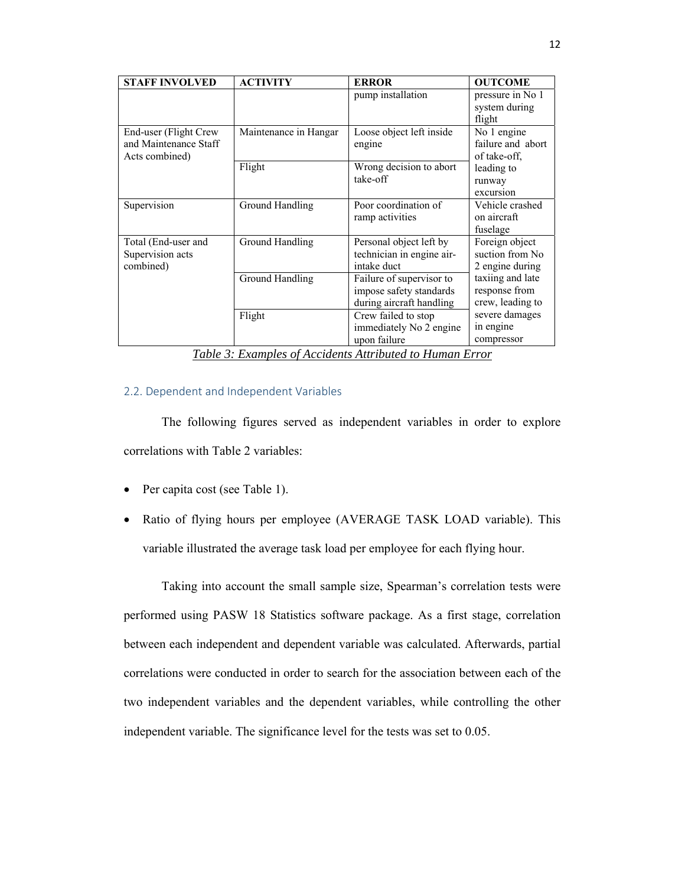| <b>STAFF INVOLVED</b>                                            | <b>ACTIVITY</b>       | <b>ERROR</b>                                                                    | <b>OUTCOME</b>                                                                                                |  |
|------------------------------------------------------------------|-----------------------|---------------------------------------------------------------------------------|---------------------------------------------------------------------------------------------------------------|--|
|                                                                  |                       | pump installation                                                               | pressure in No 1<br>system during<br>flight                                                                   |  |
| End-user (Flight Crew<br>and Maintenance Staff<br>Acts combined) | Maintenance in Hangar | Loose object left inside<br>engine                                              | No 1 engine<br>failure and abort<br>of take-off,                                                              |  |
|                                                                  | Flight                | Wrong decision to abort<br>take-off                                             | leading to<br>runway<br>excursion                                                                             |  |
| Supervision                                                      | Ground Handling       | Poor coordination of<br>ramp activities                                         | Vehicle crashed<br>on aircraft<br>fuselage                                                                    |  |
| Total (End-user and<br>Supervision acts<br>combined)             | Ground Handling       | Personal object left by<br>technician in engine air-<br>intake duct             | Foreign object<br>suction from No<br>2 engine during<br>taxiing and late<br>response from<br>crew, leading to |  |
|                                                                  | Ground Handling       | Failure of supervisor to<br>impose safety standards<br>during aircraft handling |                                                                                                               |  |
|                                                                  | Flight                | Crew failed to stop<br>immediately No 2 engine<br>upon failure                  | severe damages<br>in engine<br>compressor                                                                     |  |

*Table 3: Examples of Accidents Attributed to Human Error*

## 2.2. Dependent and Independent Variables

 The following figures served as independent variables in order to explore correlations with Table 2 variables:

- Per capita cost (see Table 1).
- Ratio of flying hours per employee (AVERAGE TASK LOAD variable). This variable illustrated the average task load per employee for each flying hour.

 Taking into account the small sample size, Spearman's correlation tests were performed using PASW 18 Statistics software package. As a first stage, correlation between each independent and dependent variable was calculated. Afterwards, partial correlations were conducted in order to search for the association between each of the two independent variables and the dependent variables, while controlling the other independent variable. The significance level for the tests was set to 0.05.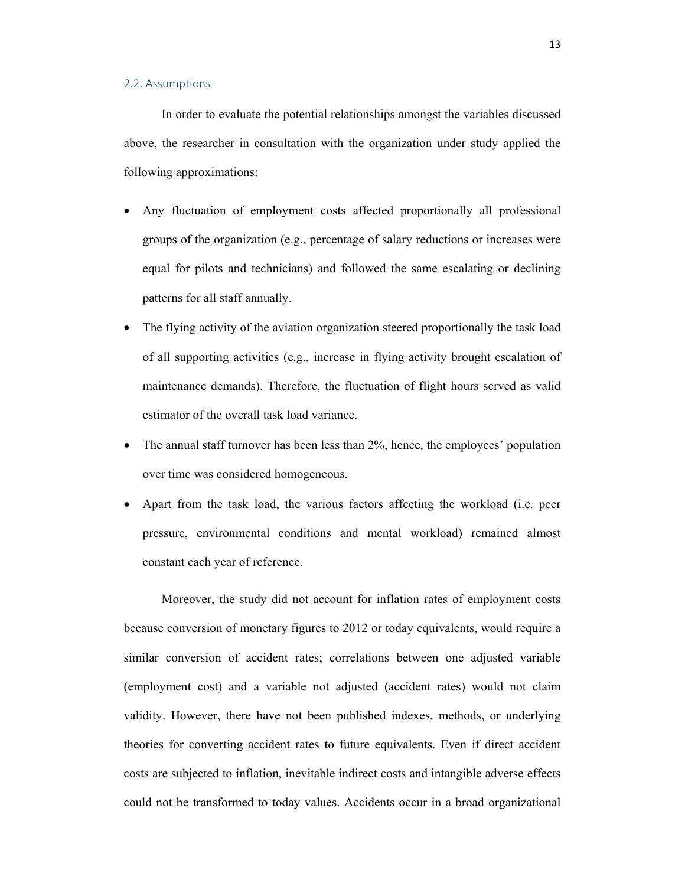#### 2.2. Assumptions

 In order to evaluate the potential relationships amongst the variables discussed above, the researcher in consultation with the organization under study applied the following approximations:

- Any fluctuation of employment costs affected proportionally all professional groups of the organization (e.g., percentage of salary reductions or increases were equal for pilots and technicians) and followed the same escalating or declining patterns for all staff annually.
- The flying activity of the aviation organization steered proportionally the task load of all supporting activities (e.g., increase in flying activity brought escalation of maintenance demands). Therefore, the fluctuation of flight hours served as valid estimator of the overall task load variance.
- $\bullet$  The annual staff turnover has been less than 2%, hence, the employees' population over time was considered homogeneous.
- Apart from the task load, the various factors affecting the workload (i.e. peer pressure, environmental conditions and mental workload) remained almost constant each year of reference.

 Moreover, the study did not account for inflation rates of employment costs because conversion of monetary figures to 2012 or today equivalents, would require a similar conversion of accident rates; correlations between one adjusted variable (employment cost) and a variable not adjusted (accident rates) would not claim validity. However, there have not been published indexes, methods, or underlying theories for converting accident rates to future equivalents. Even if direct accident costs are subjected to inflation, inevitable indirect costs and intangible adverse effects could not be transformed to today values. Accidents occur in a broad organizational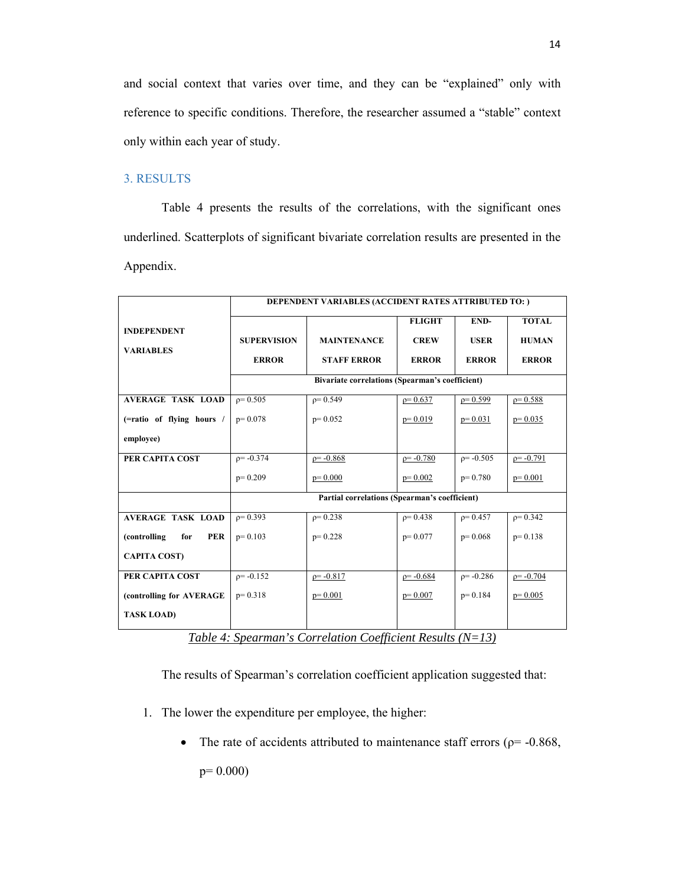and social context that varies over time, and they can be "explained" only with reference to specific conditions. Therefore, the researcher assumed a "stable" context only within each year of study.

# 3. RESULTS

 Table 4 presents the results of the correlations, with the significant ones underlined. Scatterplots of significant bivariate correlation results are presented in the Appendix.

|                                   | DEPENDENT VARIABLES (ACCIDENT RATES ATTRIBUTED TO: ) |                    |                |              |              |  |  |
|-----------------------------------|------------------------------------------------------|--------------------|----------------|--------------|--------------|--|--|
| <b>INDEPENDENT</b>                |                                                      |                    | <b>FLIGHT</b>  | END-         | <b>TOTAL</b> |  |  |
|                                   | <b>SUPERVISION</b>                                   | <b>MAINTENANCE</b> | <b>CREW</b>    | <b>USER</b>  | <b>HUMAN</b> |  |  |
| <b>VARIABLES</b>                  | <b>ERROR</b>                                         | <b>STAFF ERROR</b> | <b>ERROR</b>   | <b>ERROR</b> | <b>ERROR</b> |  |  |
|                                   | Bivariate correlations (Spearman's coefficient)      |                    |                |              |              |  |  |
|                                   |                                                      |                    |                |              |              |  |  |
| <b>AVERAGE TASK LOAD</b>          | $\rho = 0.505$                                       | $p = 0.549$        | $p = 0.637$    | $p=0.599$    | $p = 0.588$  |  |  |
| (=ratio of flying hours /         | $p=0.078$                                            | $p=0.052$          | $p=0.019$      | $p=0.031$    | $p=0.035$    |  |  |
| employee)                         |                                                      |                    |                |              |              |  |  |
| PER CAPITA COST                   | $p = -0.374$                                         | $p = -0.868$       | $p = -0.780$   | $p = -0.505$ | $p = -0.791$ |  |  |
|                                   | $p=0.209$                                            | $p=0.000$          | $p=0.002$      | $p=0.780$    | $p=0.001$    |  |  |
|                                   | Partial correlations (Spearman's coefficient)        |                    |                |              |              |  |  |
| <b>AVERAGE TASK LOAD</b>          | $\rho = 0.393$                                       | $p = 0.238$        | $\rho = 0.438$ | $p = 0.457$  | $p = 0.342$  |  |  |
| <b>PER</b><br>(controlling<br>for | $p=0.103$                                            | $p=0.228$          | $p = 0.077$    | $p=0.068$    | $p=0.138$    |  |  |
| <b>CAPITA COST)</b>               |                                                      |                    |                |              |              |  |  |
| PER CAPITA COST                   | $p = -0.152$                                         | $p = -0.817$       | $p = -0.684$   | $p = -0.286$ | $p = -0.704$ |  |  |
| (controlling for AVERAGE          | $p=0.318$                                            | $p=0.001$          | $p=0.007$      | $p=0.184$    | $p=0.005$    |  |  |
| <b>TASK LOAD)</b>                 |                                                      |                    |                |              |              |  |  |

*Table 4: Spearman's Correlation Coefficient Results (N=13)* 

The results of Spearman's correlation coefficient application suggested that:

- 1. The lower the expenditure per employee, the higher:
	- The rate of accidents attributed to maintenance staff errors ( $\rho$ = -0.868,

p= 0.000)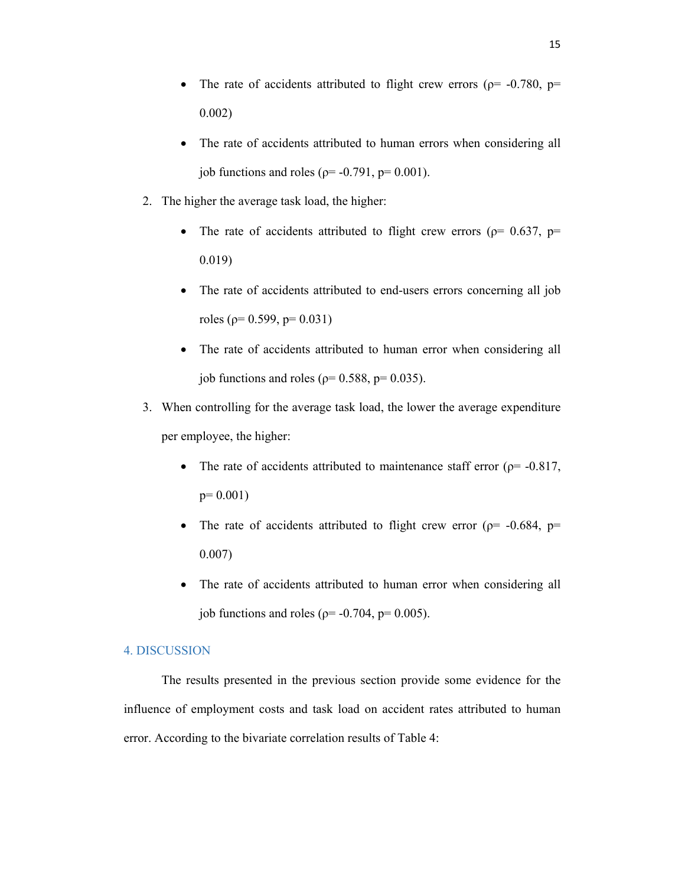- The rate of accidents attributed to flight crew errors ( $\rho$ = -0.780,  $p$ = 0.002)
- The rate of accidents attributed to human errors when considering all job functions and roles ( $\rho$ = -0.791,  $p$ = 0.001).
- 2. The higher the average task load, the higher:
	- The rate of accidents attributed to flight crew errors ( $p= 0.637$ ,  $p=$ 0.019)
	- The rate of accidents attributed to end-users errors concerning all job roles (ρ= 0.599, p= 0.031)
	- The rate of accidents attributed to human error when considering all job functions and roles ( $\rho$ = 0.588,  $p$ = 0.035).
- 3. When controlling for the average task load, the lower the average expenditure per employee, the higher:
	- The rate of accidents attributed to maintenance staff error ( $p=$  -0.817, p= 0.001)
	- The rate of accidents attributed to flight crew error ( $p=$  -0.684,  $p=$ 0.007)
	- The rate of accidents attributed to human error when considering all job functions and roles ( $\rho$ = -0.704,  $p$ = 0.005).

## 4. DISCUSSION

 The results presented in the previous section provide some evidence for the influence of employment costs and task load on accident rates attributed to human error. According to the bivariate correlation results of Table 4: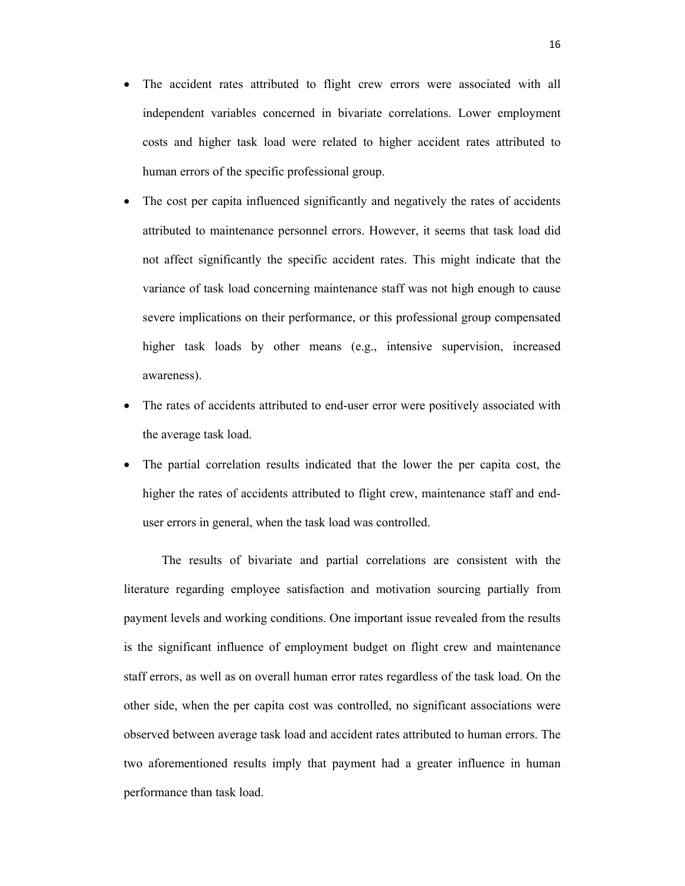- The accident rates attributed to flight crew errors were associated with all independent variables concerned in bivariate correlations. Lower employment costs and higher task load were related to higher accident rates attributed to human errors of the specific professional group.
- The cost per capita influenced significantly and negatively the rates of accidents attributed to maintenance personnel errors. However, it seems that task load did not affect significantly the specific accident rates. This might indicate that the variance of task load concerning maintenance staff was not high enough to cause severe implications on their performance, or this professional group compensated higher task loads by other means (e.g., intensive supervision, increased awareness).
- The rates of accidents attributed to end-user error were positively associated with the average task load.
- The partial correlation results indicated that the lower the per capita cost, the higher the rates of accidents attributed to flight crew, maintenance staff and enduser errors in general, when the task load was controlled.

 The results of bivariate and partial correlations are consistent with the literature regarding employee satisfaction and motivation sourcing partially from payment levels and working conditions. One important issue revealed from the results is the significant influence of employment budget on flight crew and maintenance staff errors, as well as on overall human error rates regardless of the task load. On the other side, when the per capita cost was controlled, no significant associations were observed between average task load and accident rates attributed to human errors. The two aforementioned results imply that payment had a greater influence in human performance than task load.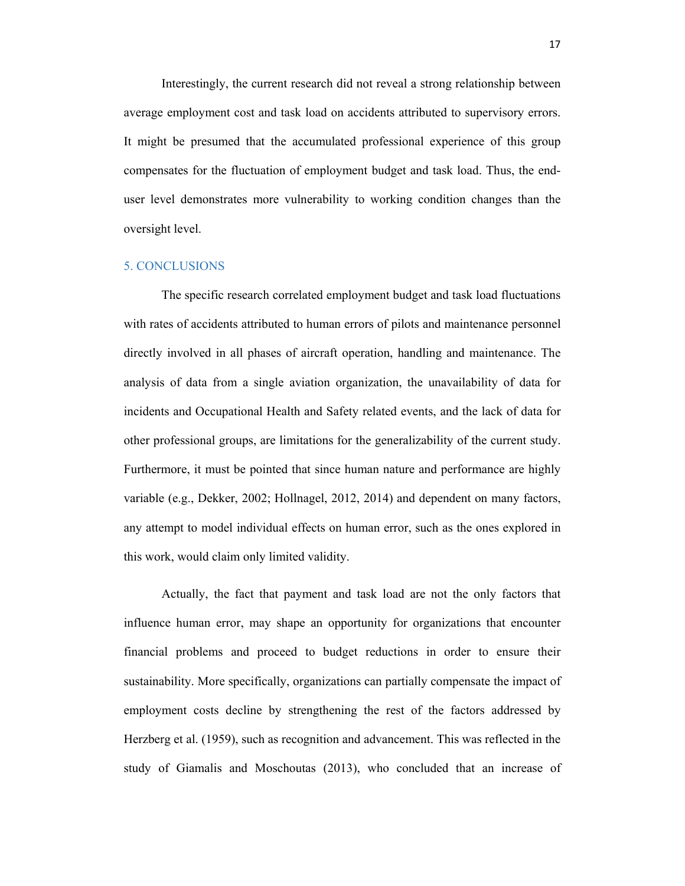Interestingly, the current research did not reveal a strong relationship between average employment cost and task load on accidents attributed to supervisory errors. It might be presumed that the accumulated professional experience of this group compensates for the fluctuation of employment budget and task load. Thus, the enduser level demonstrates more vulnerability to working condition changes than the oversight level.

## 5. CONCLUSIONS

 The specific research correlated employment budget and task load fluctuations with rates of accidents attributed to human errors of pilots and maintenance personnel directly involved in all phases of aircraft operation, handling and maintenance. The analysis of data from a single aviation organization, the unavailability of data for incidents and Occupational Health and Safety related events, and the lack of data for other professional groups, are limitations for the generalizability of the current study. Furthermore, it must be pointed that since human nature and performance are highly variable (e.g., Dekker, 2002; Hollnagel, 2012, 2014) and dependent on many factors, any attempt to model individual effects on human error, such as the ones explored in this work, would claim only limited validity.

 Actually, the fact that payment and task load are not the only factors that influence human error, may shape an opportunity for organizations that encounter financial problems and proceed to budget reductions in order to ensure their sustainability. More specifically, organizations can partially compensate the impact of employment costs decline by strengthening the rest of the factors addressed by Herzberg et al. (1959), such as recognition and advancement. This was reflected in the study of Giamalis and Moschoutas (2013), who concluded that an increase of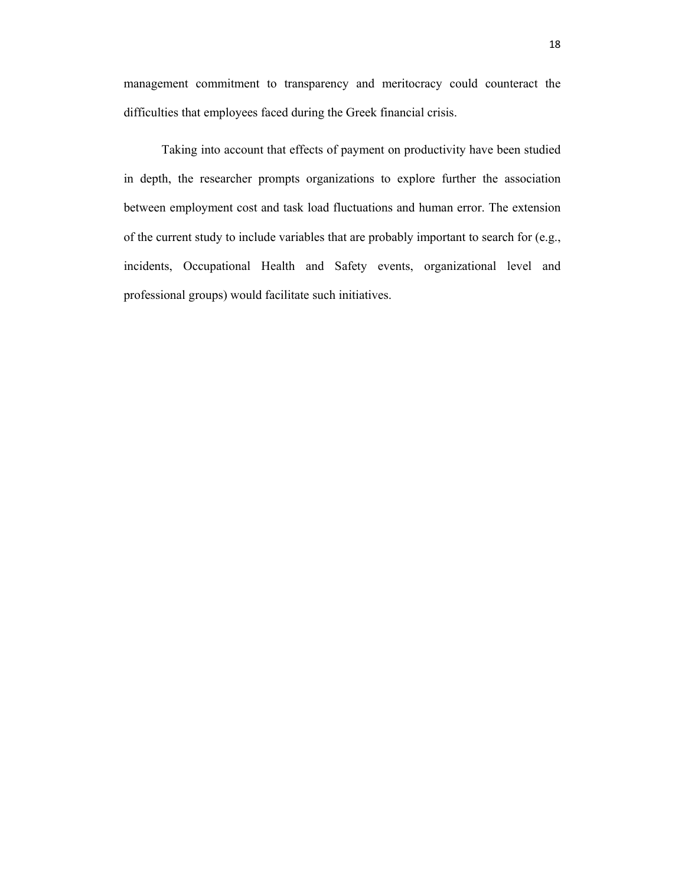management commitment to transparency and meritocracy could counteract the difficulties that employees faced during the Greek financial crisis.

 Taking into account that effects of payment on productivity have been studied in depth, the researcher prompts organizations to explore further the association between employment cost and task load fluctuations and human error. The extension of the current study to include variables that are probably important to search for (e.g., incidents, Occupational Health and Safety events, organizational level and professional groups) would facilitate such initiatives.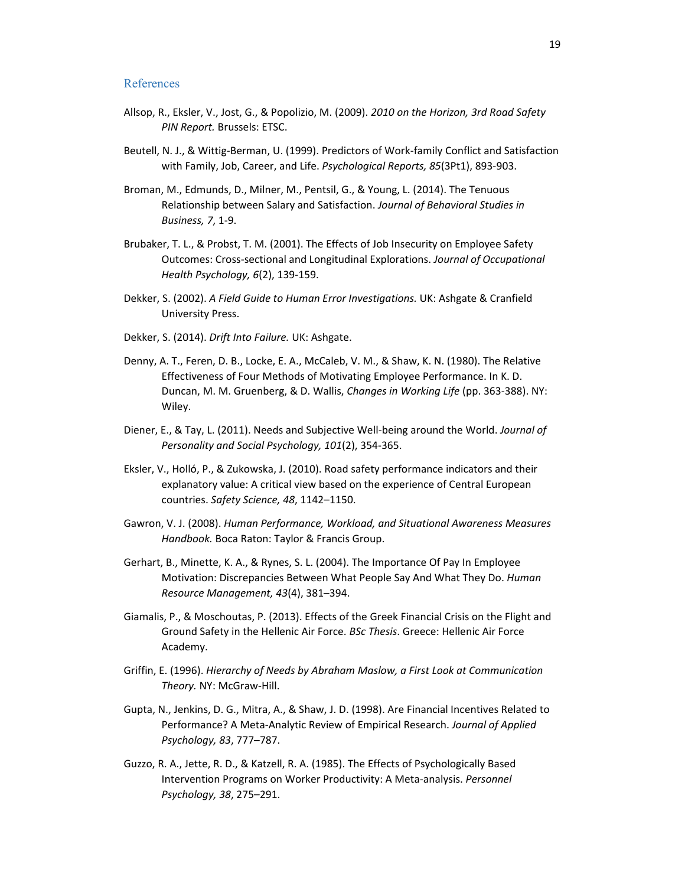### References

- Allsop, R., Eksler, V., Jost, G., & Popolizio, M. (2009). *2010 on the Horizon, 3rd Road Safety PIN Report.* Brussels: ETSC.
- Beutell, N. J., & Wittig‐Berman, U. (1999). Predictors of Work‐family Conflict and Satisfaction with Family, Job, Career, and Life. *Psychological Reports, 85*(3Pt1), 893‐903.
- Broman, M., Edmunds, D., Milner, M., Pentsil, G., & Young, L. (2014). The Tenuous Relationship between Salary and Satisfaction. *Journal of Behavioral Studies in Business, 7*, 1‐9.
- Brubaker, T. L., & Probst, T. M. (2001). The Effects of Job Insecurity on Employee Safety Outcomes: Cross‐sectional and Longitudinal Explorations. *Journal of Occupational Health Psychology, 6*(2), 139‐159.
- Dekker, S. (2002). *A Field Guide to Human Error Investigations.* UK: Ashgate & Cranfield University Press.
- Dekker, S. (2014). *Drift Into Failure.* UK: Ashgate.
- Denny, A. T., Feren, D. B., Locke, E. A., McCaleb, V. M., & Shaw, K. N. (1980). The Relative Effectiveness of Four Methods of Motivating Employee Performance. In K. D. Duncan, M. M. Gruenberg, & D. Wallis, *Changes in Working Life* (pp. 363‐388). NY: Wiley.
- Diener, E., & Tay, L. (2011). Needs and Subjective Well‐being around the World. *Journal of Personality and Social Psychology, 101*(2), 354‐365.
- Eksler, V., Holló, P., & Zukowska, J. (2010). Road safety performance indicators and their explanatory value: A critical view based on the experience of Central European countries. *Safety Science, 48*, 1142–1150.
- Gawron, V. J. (2008). *Human Performance, Workload, and Situational Awareness Measures Handbook.* Boca Raton: Taylor & Francis Group.
- Gerhart, B., Minette, K. A., & Rynes, S. L. (2004). The Importance Of Pay In Employee Motivation: Discrepancies Between What People Say And What They Do. *Human Resource Management, 43*(4), 381–394.
- Giamalis, P., & Moschoutas, P. (2013). Effects of the Greek Financial Crisis on the Flight and Ground Safety in the Hellenic Air Force. *BSc Thesis*. Greece: Hellenic Air Force Academy.
- Griffin, E. (1996). *Hierarchy of Needs by Abraham Maslow, a First Look at Communication Theory.* NY: McGraw‐Hill.
- Gupta, N., Jenkins, D. G., Mitra, A., & Shaw, J. D. (1998). Are Financial Incentives Related to Performance? A Meta‐Analytic Review of Empirical Research. *Journal of Applied Psychology, 83*, 777–787.
- Guzzo, R. A., Jette, R. D., & Katzell, R. A. (1985). The Effects of Psychologically Based Intervention Programs on Worker Productivity: A Meta‐analysis. *Personnel Psychology, 38*, 275–291.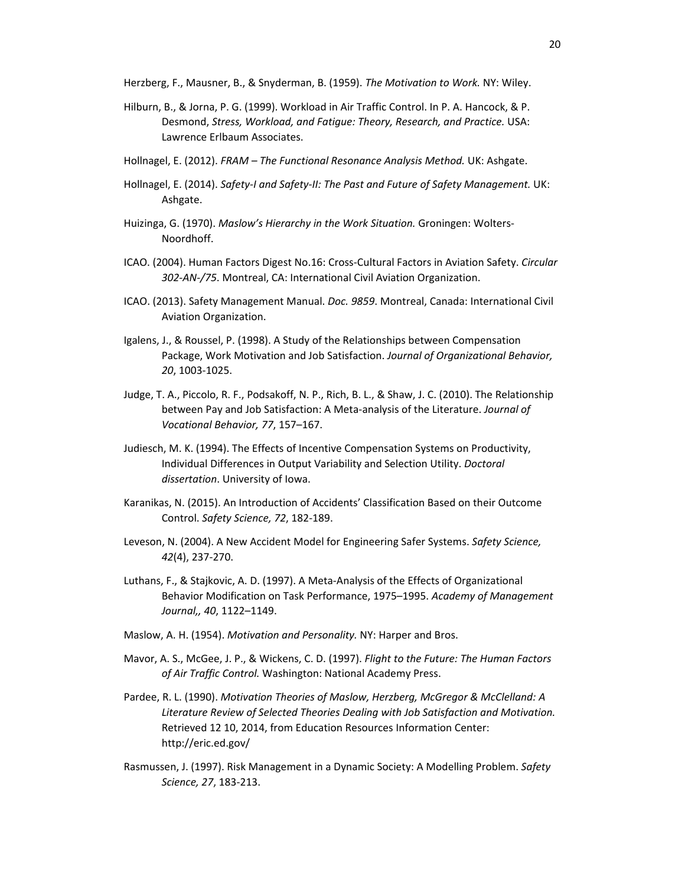Herzberg, F., Mausner, B., & Snyderman, B. (1959). *The Motivation to Work.* NY: Wiley.

- Hilburn, B., & Jorna, P. G. (1999). Workload in Air Traffic Control. In P. A. Hancock, & P. Desmond, *Stress, Workload, and Fatigue: Theory, Research, and Practice.* USA: Lawrence Erlbaum Associates.
- Hollnagel, E. (2012). *FRAM The Functional Resonance Analysis Method.* UK: Ashgate.
- Hollnagel, E. (2014). *Safety‐I and Safety‐II: The Past and Future of Safety Management.* UK: Ashgate.
- Huizinga, G. (1970). *Maslow's Hierarchy in the Work Situation.* Groningen: Wolters‐ Noordhoff.
- ICAO. (2004). Human Factors Digest No.16: Cross‐Cultural Factors in Aviation Safety. *Circular 302‐AN‐/75*. Montreal, CA: International Civil Aviation Organization.
- ICAO. (2013). Safety Management Manual. *Doc. 9859*. Montreal, Canada: International Civil Aviation Organization.
- Igalens, J., & Roussel, P. (1998). A Study of the Relationships between Compensation Package, Work Motivation and Job Satisfaction. *Journal of Organizational Behavior, 20*, 1003‐1025.
- Judge, T. A., Piccolo, R. F., Podsakoff, N. P., Rich, B. L., & Shaw, J. C. (2010). The Relationship between Pay and Job Satisfaction: A Meta‐analysis of the Literature. *Journal of Vocational Behavior, 77*, 157–167.
- Judiesch, M. K. (1994). The Effects of Incentive Compensation Systems on Productivity, Individual Differences in Output Variability and Selection Utility. *Doctoral dissertation*. University of Iowa.
- Karanikas, N. (2015). An Introduction of Accidents' Classification Based on their Outcome Control. *Safety Science, 72*, 182‐189.
- Leveson, N. (2004). A New Accident Model for Engineering Safer Systems. *Safety Science, 42*(4), 237‐270.
- Luthans, F., & Stajkovic, A. D. (1997). A Meta‐Analysis of the Effects of Organizational Behavior Modification on Task Performance, 1975–1995. *Academy of Management Journal,, 40*, 1122–1149.
- Maslow, A. H. (1954). *Motivation and Personality.* NY: Harper and Bros.
- Mavor, A. S., McGee, J. P., & Wickens, C. D. (1997). *Flight to the Future: The Human Factors of Air Traffic Control.* Washington: National Academy Press.
- Pardee, R. L. (1990). *Motivation Theories of Maslow, Herzberg, McGregor & McClelland: A Literature Review of Selected Theories Dealing with Job Satisfaction and Motivation.* Retrieved 12 10, 2014, from Education Resources Information Center: http://eric.ed.gov/
- Rasmussen, J. (1997). Risk Management in a Dynamic Society: A Modelling Problem. *Safety Science, 27*, 183‐213.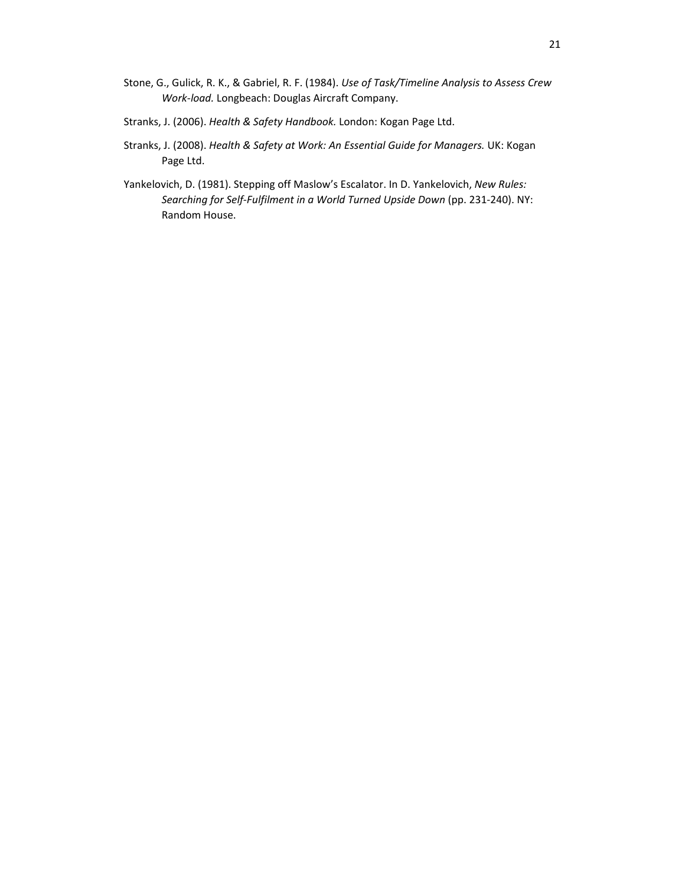- Stone, G., Gulick, R. K., & Gabriel, R. F. (1984). *Use of Task/Timeline Analysis to Assess Crew Work‐load.* Longbeach: Douglas Aircraft Company.
- Stranks, J. (2006). *Health & Safety Handbook.* London: Kogan Page Ltd.
- Stranks, J. (2008). *Health & Safety at Work: An Essential Guide for Managers.* UK: Kogan Page Ltd.
- Yankelovich, D. (1981). Stepping off Maslow's Escalator. In D. Yankelovich, *New Rules: Searching for Self‐Fulfilment in a World Turned Upside Down* (pp. 231‐240). NY: Random House.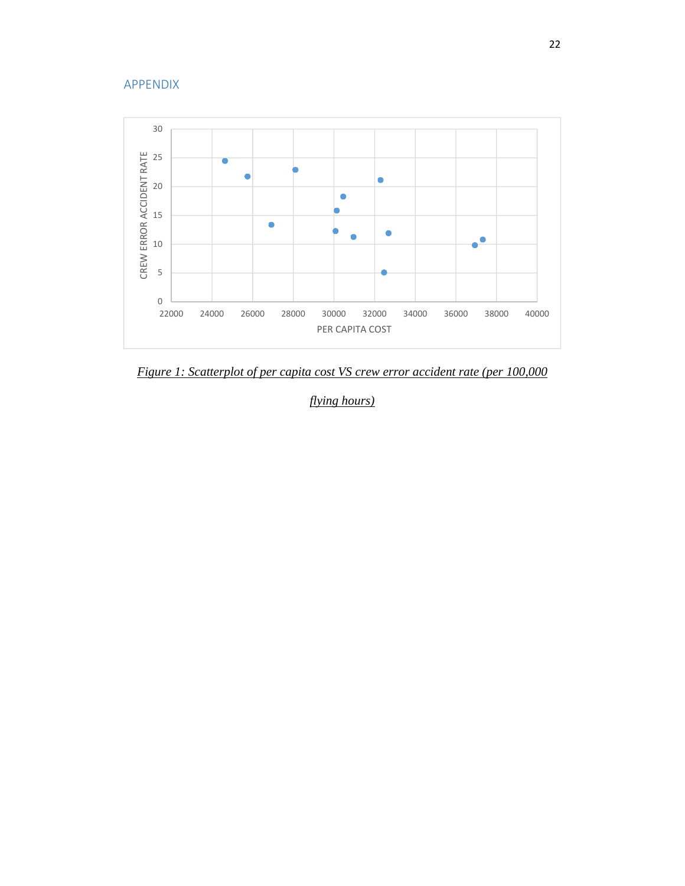# APPENDIX



*Figure 1: Scatterplot of per capita cost VS crew error accident rate (per 100,000* 

*flying hours)*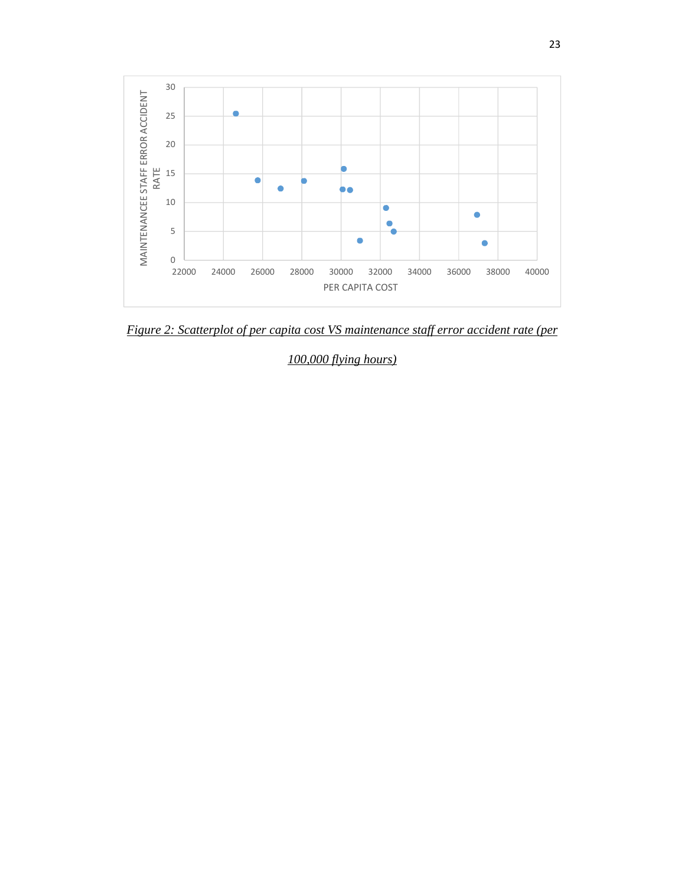

*Figure 2: Scatterplot of per capita cost VS maintenance staff error accident rate (per* 

*100,000 flying hours)*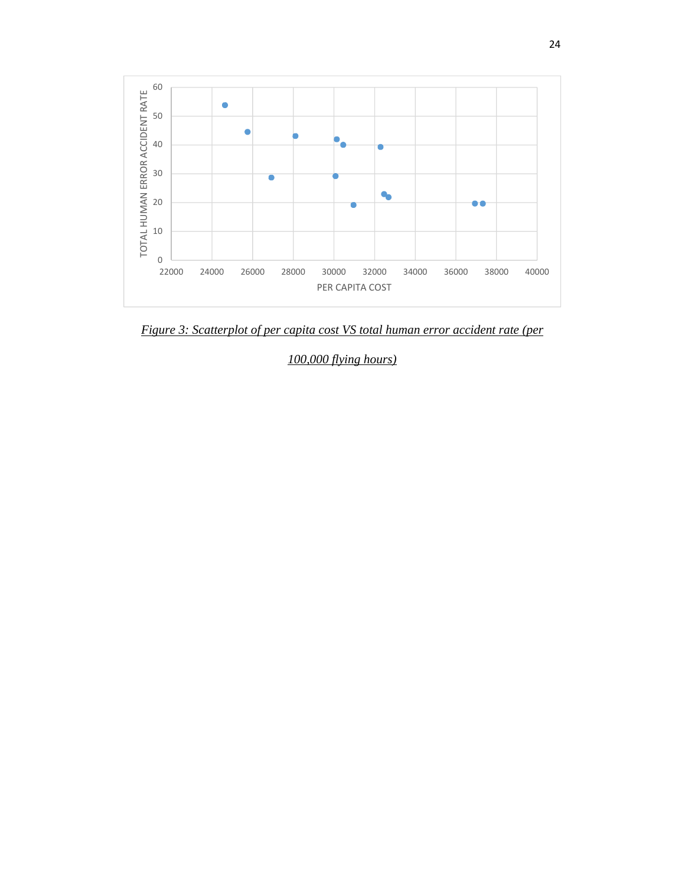

*Figure 3: Scatterplot of per capita cost VS total human error accident rate (per* 

*100,000 flying hours)*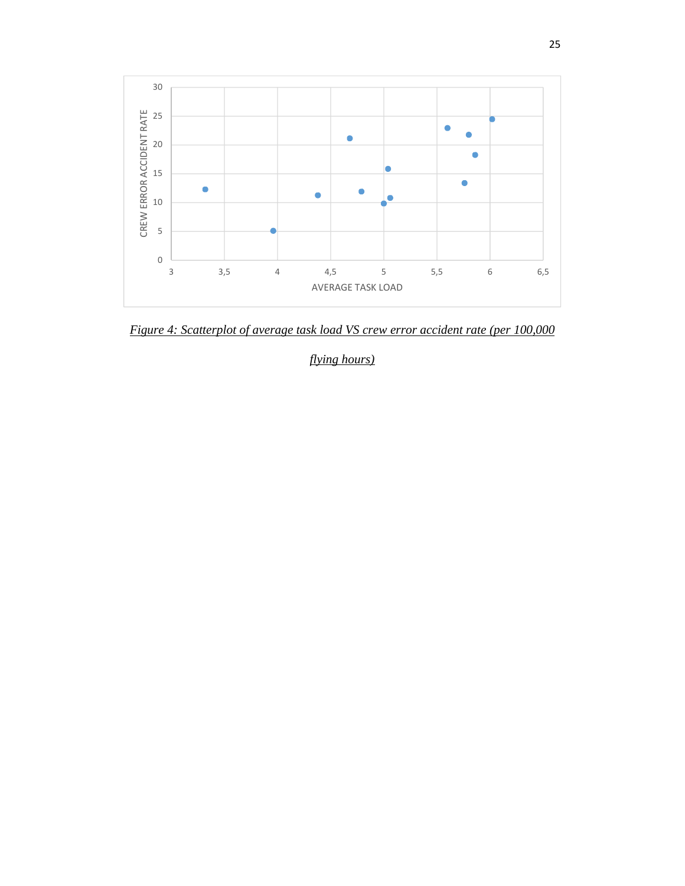

*Figure 4: Scatterplot of average task load VS crew error accident rate (per 100,000* 

*flying hours)*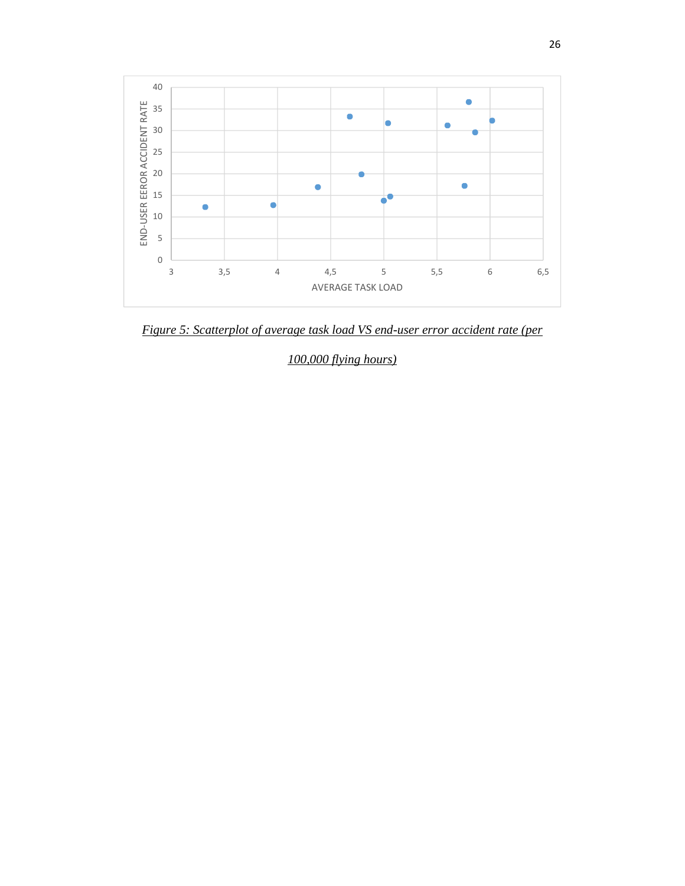

*Figure 5: Scatterplot of average task load VS end-user error accident rate (per* 

*100,000 flying hours)*